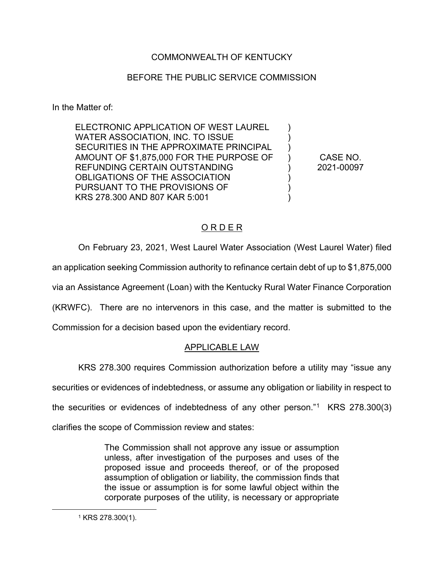# COMMONWEALTH OF KENTUCKY

## BEFORE THE PUBLIC SERVICE COMMISSION

In the Matter of:

ELECTRONIC APPLICATION OF WEST LAUREL WATER ASSOCIATION, INC. TO ISSUE SECURITIES IN THE APPROXIMATE PRINCIPAL AMOUNT OF \$1,875,000 FOR THE PURPOSE OF REFUNDING CERTAIN OUTSTANDING OBLIGATIONS OF THE ASSOCIATION PURSUANT TO THE PROVISIONS OF KRS 278.300 AND 807 KAR 5:001

CASE NO. 2021-00097

 $\lambda$ ) ) ) ) ) ) )

# O R D E R

On February 23, 2021, West Laurel Water Association (West Laurel Water) filed an application seeking Commission authority to refinance certain debt of up to \$1,875,000 via an Assistance Agreement (Loan) with the Kentucky Rural Water Finance Corporation (KRWFC). There are no intervenors in this case, and the matter is submitted to the

Commission for a decision based upon the evidentiary record.

### APPLICABLE LAW

KRS 278.300 requires Commission authorization before a utility may "issue any

securities or evidences of indebtedness, or assume any obligation or liability in respect to

the securities or evidences of indebtedness of any other person."1 KRS 278.300(3)

clarifies the scope of Commission review and states:

The Commission shall not approve any issue or assumption unless, after investigation of the purposes and uses of the proposed issue and proceeds thereof, or of the proposed assumption of obligation or liability, the commission finds that the issue or assumption is for some lawful object within the corporate purposes of the utility, is necessary or appropriate

<sup>1</sup> KRS 278.300(1).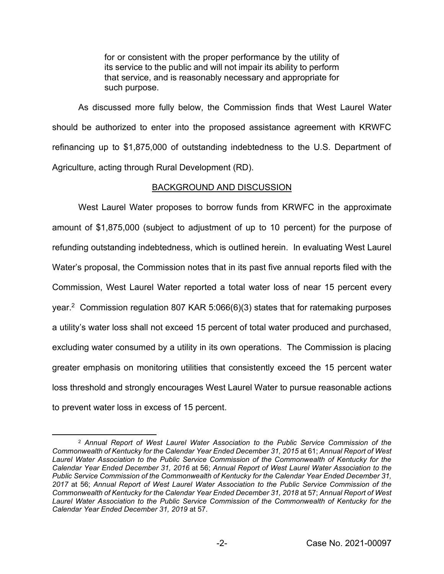for or consistent with the proper performance by the utility of its service to the public and will not impair its ability to perform that service, and is reasonably necessary and appropriate for such purpose.

As discussed more fully below, the Commission finds that West Laurel Water should be authorized to enter into the proposed assistance agreement with KRWFC refinancing up to \$1,875,000 of outstanding indebtedness to the U.S. Department of Agriculture, acting through Rural Development (RD).

## BACKGROUND AND DISCUSSION

West Laurel Water proposes to borrow funds from KRWFC in the approximate amount of \$1,875,000 (subject to adjustment of up to 10 percent) for the purpose of refunding outstanding indebtedness, which is outlined herein. In evaluating West Laurel Water's proposal, the Commission notes that in its past five annual reports filed with the Commission, West Laurel Water reported a total water loss of near 15 percent every year. 2 Commission regulation 807 KAR 5:066(6)(3) states that for ratemaking purposes a utility's water loss shall not exceed 15 percent of total water produced and purchased, excluding water consumed by a utility in its own operations. The Commission is placing greater emphasis on monitoring utilities that consistently exceed the 15 percent water loss threshold and strongly encourages West Laurel Water to pursue reasonable actions to prevent water loss in excess of 15 percent.

<sup>2</sup> *Annual Report of West Laurel Water Association to the Public Service Commission of the Commonwealth of Kentucky for the Calendar Year Ended December 31, 2015* at 61; *Annual Report of West Laurel Water Association to the Public Service Commission of the Commonwealth of Kentucky for the Calendar Year Ended December 31, 2016* at 56; *Annual Report of West Laurel Water Association to the Public Service Commission of the Commonwealth of Kentucky for the Calendar Year Ended December 31, 2017* at 56; *Annual Report of West Laurel Water Association to the Public Service Commission of the Commonwealth of Kentucky for the Calendar Year Ended December 31, 2018* at 57; *Annual Report of West Laurel Water Association to the Public Service Commission of the Commonwealth of Kentucky for the Calendar Year Ended December 31, 2019* at 57.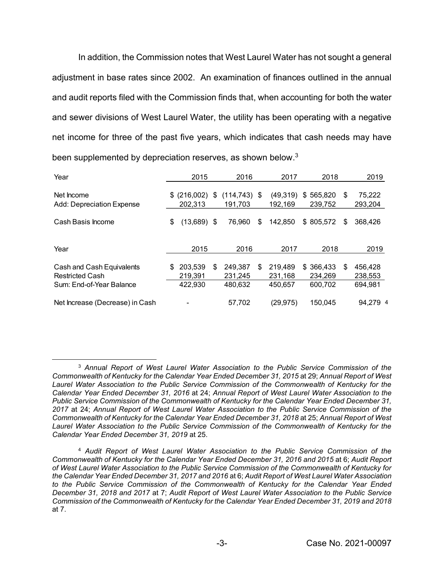In addition, the Commission notes that West Laurel Water has not sought a general adjustment in base rates since 2002. An examination of finances outlined in the annual and audit reports filed with the Commission finds that, when accounting for both the water and sewer divisions of West Laurel Water, the utility has been operating with a negative net income for three of the past five years, which indicates that cash needs may have been supplemented by depreciation reserves, as shown below.<sup>3</sup>

| Year                                                                            | 2015 |                               | 2016 |                               | 2017 |                               | 2018 |                                 | 2019 |                               |  |
|---------------------------------------------------------------------------------|------|-------------------------------|------|-------------------------------|------|-------------------------------|------|---------------------------------|------|-------------------------------|--|
| Net Income<br>Add: Depreciation Expense                                         | S    | (216,002)<br>202,313          | \$   | $(114, 743)$ \$<br>191.703    |      | (49,319)<br>192,169           | \$   | 565,820<br>239,752              | S    | 75,222<br>293,204             |  |
| Cash Basis Income                                                               | \$   | $(13,689)$ \$                 |      | 76.960                        | \$   | 142.850                       |      | \$805.572                       | S    | 368,426                       |  |
| Year                                                                            |      | 2015                          |      | 2016                          |      | 2017                          |      | 2018                            |      | 2019                          |  |
| Cash and Cash Equivalents<br><b>Restricted Cash</b><br>Sum: End-of-Year Balance | S    | 203.539<br>219,391<br>422,930 | S    | 249.387<br>231.245<br>480.632 | \$   | 219,489<br>231,168<br>450.657 |      | \$366.433<br>234,269<br>600.702 | S    | 456,428<br>238,553<br>694,981 |  |
| Net Increase (Decrease) in Cash                                                 |      |                               |      | 57,702                        |      | (29,975)                      |      | 150.045                         |      | 94,279 4                      |  |

<sup>3</sup> *Annual Report of West Laurel Water Association to the Public Service Commission of the Commonwealth of Kentucky for the Calendar Year Ended December 31, 2015* at 29; *Annual Report of West Laurel Water Association to the Public Service Commission of the Commonwealth of Kentucky for the Calendar Year Ended December 31, 2016* at 24; *Annual Report of West Laurel Water Association to the Public Service Commission of the Commonwealth of Kentucky for the Calendar Year Ended December 31, 2017* at 24; *Annual Report of West Laurel Water Association to the Public Service Commission of the Commonwealth of Kentucky for the Calendar Year Ended December 31, 2018* at 25; *Annual Report of West Laurel Water Association to the Public Service Commission of the Commonwealth of Kentucky for the Calendar Year Ended December 31, 2019* at 25.

<sup>4</sup> *Audit Report of West Laurel Water Association to the Public Service Commission of the Commonwealth of Kentucky for the Calendar Year Ended December 31, 2016 and 2015* at 6; *Audit Report of West Laurel Water Association to the Public Service Commission of the Commonwealth of Kentucky for the Calendar Year Ended December 31, 2017 and 2016* at 6; *Audit Report of West Laurel Water Association to the Public Service Commission of the Commonwealth of Kentucky for the Calendar Year Ended December 31, 2018 and 2017* at 7; *Audit Report of West Laurel Water Association to the Public Service Commission of the Commonwealth of Kentucky for the Calendar Year Ended December 31, 2019 and 2018* at 7.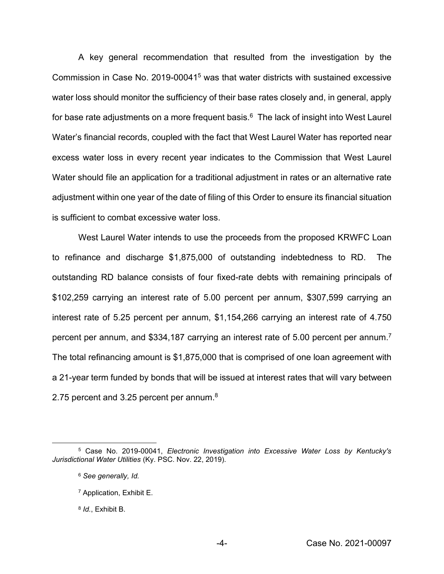A key general recommendation that resulted from the investigation by the Commission in Case No. 2019-000415 was that water districts with sustained excessive water loss should monitor the sufficiency of their base rates closely and, in general, apply for base rate adjustments on a more frequent basis. $6$  The lack of insight into West Laurel Water's financial records, coupled with the fact that West Laurel Water has reported near excess water loss in every recent year indicates to the Commission that West Laurel Water should file an application for a traditional adjustment in rates or an alternative rate adjustment within one year of the date of filing of this Order to ensure its financial situation is sufficient to combat excessive water loss.

West Laurel Water intends to use the proceeds from the proposed KRWFC Loan to refinance and discharge \$1,875,000 of outstanding indebtedness to RD. The outstanding RD balance consists of four fixed-rate debts with remaining principals of \$102,259 carrying an interest rate of 5.00 percent per annum, \$307,599 carrying an interest rate of 5.25 percent per annum, \$1,154,266 carrying an interest rate of 4.750 percent per annum, and \$334,187 carrying an interest rate of 5.00 percent per annum.<sup>7</sup> The total refinancing amount is \$1,875,000 that is comprised of one loan agreement with a 21-year term funded by bonds that will be issued at interest rates that will vary between 2.75 percent and 3.25 percent per annum. $8$ 

<sup>5</sup> Case No. 2019-00041, *Electronic Investigation into Excessive Water Loss by Kentucky's Jurisdictional Water Utilities* (Ky. PSC. Nov. 22, 2019).

<sup>6</sup> *See generally, Id.* 

<sup>7</sup> Application, Exhibit E.

<sup>8</sup> *Id.*, Exhibit B.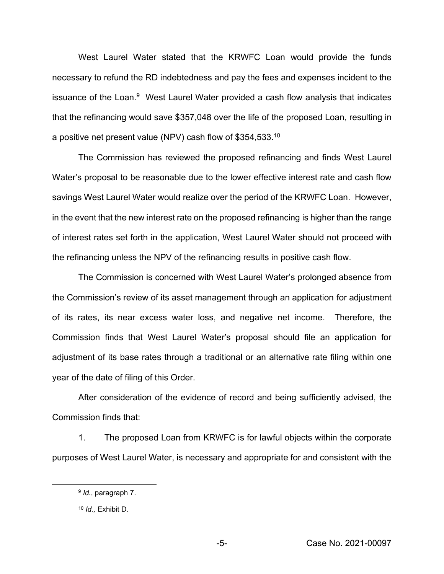West Laurel Water stated that the KRWFC Loan would provide the funds necessary to refund the RD indebtedness and pay the fees and expenses incident to the issuance of the Loan.<sup>9</sup> West Laurel Water provided a cash flow analysis that indicates that the refinancing would save \$357,048 over the life of the proposed Loan, resulting in a positive net present value (NPV) cash flow of  $$354,533.^{10}$ 

The Commission has reviewed the proposed refinancing and finds West Laurel Water's proposal to be reasonable due to the lower effective interest rate and cash flow savings West Laurel Water would realize over the period of the KRWFC Loan. However, in the event that the new interest rate on the proposed refinancing is higher than the range of interest rates set forth in the application, West Laurel Water should not proceed with the refinancing unless the NPV of the refinancing results in positive cash flow.

The Commission is concerned with West Laurel Water's prolonged absence from the Commission's review of its asset management through an application for adjustment of its rates, its near excess water loss, and negative net income. Therefore, the Commission finds that West Laurel Water's proposal should file an application for adjustment of its base rates through a traditional or an alternative rate filing within one year of the date of filing of this Order.

After consideration of the evidence of record and being sufficiently advised, the Commission finds that:

1. The proposed Loan from KRWFC is for lawful objects within the corporate purposes of West Laurel Water, is necessary and appropriate for and consistent with the

<sup>9</sup> *Id.*, paragraph 7.

<sup>10</sup> *Id.,* Exhibit D.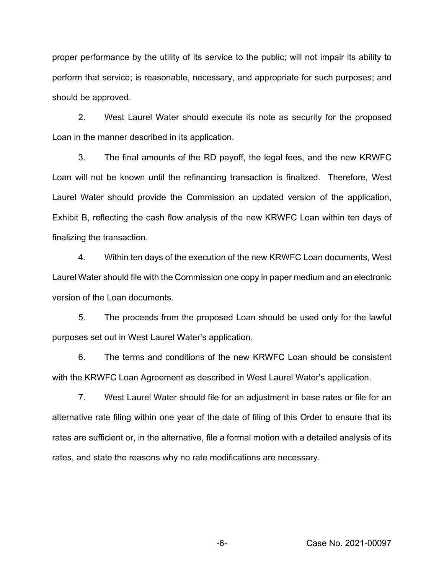proper performance by the utility of its service to the public; will not impair its ability to perform that service; is reasonable, necessary, and appropriate for such purposes; and should be approved.

2. West Laurel Water should execute its note as security for the proposed Loan in the manner described in its application.

3. The final amounts of the RD payoff, the legal fees, and the new KRWFC Loan will not be known until the refinancing transaction is finalized. Therefore, West Laurel Water should provide the Commission an updated version of the application, Exhibit B, reflecting the cash flow analysis of the new KRWFC Loan within ten days of finalizing the transaction.

4. Within ten days of the execution of the new KRWFC Loan documents, West Laurel Water should file with the Commission one copy in paper medium and an electronic version of the Loan documents.

5. The proceeds from the proposed Loan should be used only for the lawful purposes set out in West Laurel Water's application.

6. The terms and conditions of the new KRWFC Loan should be consistent with the KRWFC Loan Agreement as described in West Laurel Water's application.

7. West Laurel Water should file for an adjustment in base rates or file for an alternative rate filing within one year of the date of filing of this Order to ensure that its rates are sufficient or, in the alternative, file a formal motion with a detailed analysis of its rates, and state the reasons why no rate modifications are necessary.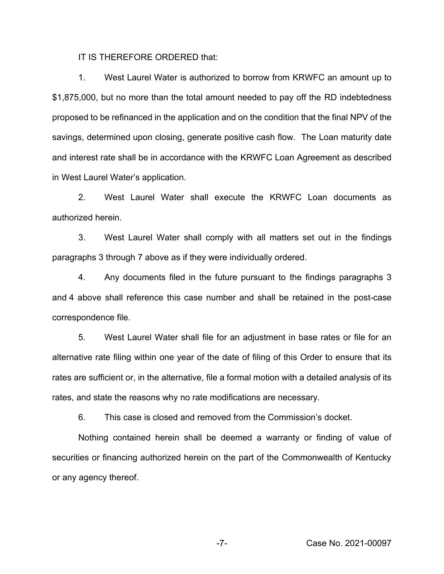IT IS THEREFORE ORDERED that:

1. West Laurel Water is authorized to borrow from KRWFC an amount up to \$1,875,000, but no more than the total amount needed to pay off the RD indebtedness proposed to be refinanced in the application and on the condition that the final NPV of the savings, determined upon closing, generate positive cash flow. The Loan maturity date and interest rate shall be in accordance with the KRWFC Loan Agreement as described in West Laurel Water's application.

2. West Laurel Water shall execute the KRWFC Loan documents as authorized herein.

3. West Laurel Water shall comply with all matters set out in the findings paragraphs 3 through 7 above as if they were individually ordered.

4. Any documents filed in the future pursuant to the findings paragraphs 3 and 4 above shall reference this case number and shall be retained in the post-case correspondence file.

5. West Laurel Water shall file for an adjustment in base rates or file for an alternative rate filing within one year of the date of filing of this Order to ensure that its rates are sufficient or, in the alternative, file a formal motion with a detailed analysis of its rates, and state the reasons why no rate modifications are necessary.

6. This case is closed and removed from the Commission's docket.

Nothing contained herein shall be deemed a warranty or finding of value of securities or financing authorized herein on the part of the Commonwealth of Kentucky or any agency thereof.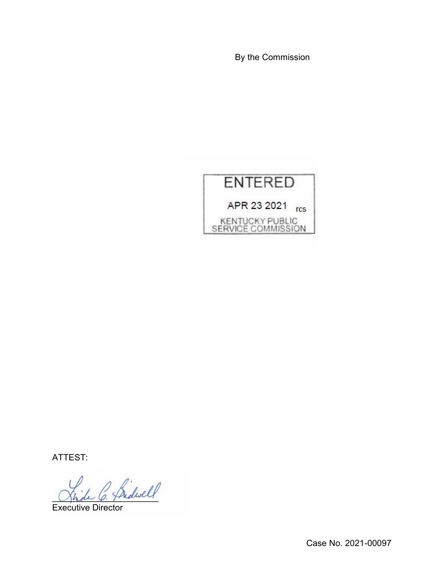By the Commission



ATTEST:

Shde C. Theaver 7

Executive Director

Case No. 2021-00097